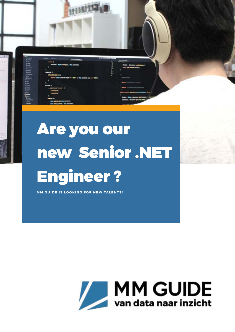

**MM GUIDE IS LOOKING FOR NEW TALENTS!** 

HHMT

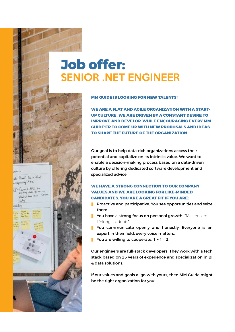## **Job offer:** SENIOR .NET ENGINEER

حاء

Brand Baile Most  $J_{\nu\gamma}$  ATI

大学 二十

**MM GUIDE IS LOOKING FOR NEW TALENTS!** 

**WE ARE A FLAT AND AGILE ORGANIZATION WITH A START-UP CULTURE. WE ARE DRIVEN BY A CONSTANT DESIRE TO IMPROVE AND DEVELOP, WHILE ENCOURAGING EVERY MM GUIDE'ER TO COME UP WITH NEW PROPOSALS AND IDEAS TO SHAPE THE FUTURE OF THE ORGANIZATION.**

Our goal is to help data-rich organizations access their potential and capitalize on its intrinsic value. We want to enable a decision-making process based on a data-driven culture by offering dedicated software development and specialized advice.

#### **WE HAVE A STRONG CONNECTION TO OUR COMPANY VALUES AND WE ARE LOOKING FOR LIKE-MINDED CANDIDATES. YOU ARE A GREAT FIT IF YOU ARE:**

Proactive and participative. You see opportunities and seize them.

You have a strong focus on personal growth. "Masters are lifelong students".

You communicate openly and honestly. Everyone is an expert in their field, every voice matters. You are willing to cooperate.  $1 + 1 = 3$ .

Our engineers are full-stack developers. They work with a tech stack based on 25 years of experience and specialization in BI & data solutions.

If our values and goals align with yours, then MM Guide might be the right organization for you!